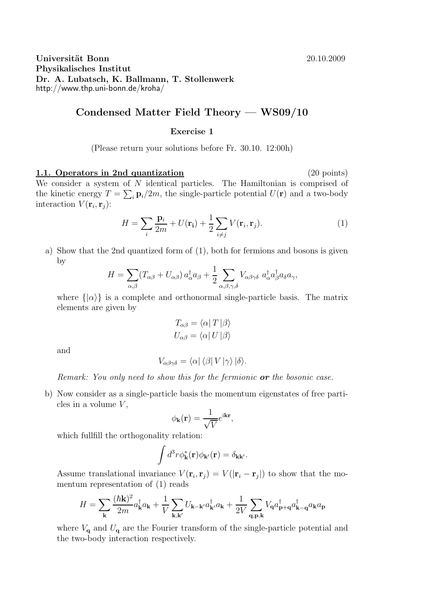### Universität Bonn 20.10.2009 Physikalisches Institut Dr. A. Lubatsch, K. Ballmann, T. Stollenwerk http://www.thp.uni-bonn.de/kroha/

## Condensed Matter Field Theory — WS09/10

### Exercise 1

(Please return your solutions before Fr. 30.10. 12:00h)

# 1.1. Operators in 2nd quantization (20 points) We consider a system of  $N$  identical particles. The Hamiltonian is comprised of the kinetic energy  $T = \sum_i \mathbf{p}_i/2m$ , the single-particle potential  $U(\mathbf{r})$  and a two-body interaction  $V(\mathbf{r}_i, \mathbf{r}_j)$ :

$$
H = \sum_{i} \frac{\mathbf{p}_i}{2m} + U(\mathbf{r}_i) + \frac{1}{2} \sum_{i \neq j} V(\mathbf{r}_i, \mathbf{r}_j).
$$
 (1)

a) Show that the 2nd quantized form of (1), both for fermions and bosons is given by

$$
H = \sum_{\alpha,\beta} (T_{\alpha\beta} + U_{\alpha\beta}) a_{\alpha}^{\dagger} a_{\beta} + \frac{1}{2} \sum_{\alpha,\beta,\gamma,\delta} V_{\alpha\beta\gamma\delta} a_{\alpha}^{\dagger} a_{\beta}^{\dagger} a_{\delta} a_{\gamma},
$$

where  $\{|\alpha\rangle\}$  is a complete and orthonormal single-particle basis. The matrix elements are given by

$$
T_{\alpha\beta} = \langle \alpha | T | \beta \rangle
$$
  

$$
U_{\alpha\beta} = \langle \alpha | U | \beta \rangle
$$

and

$$
V_{\alpha\beta\gamma\delta} = \langle \alpha | \langle \beta | V | \gamma \rangle | \delta \rangle.
$$

*Remark: You only need to show this for the fermionic* or *the bosonic case.*

b) Now consider as a single-particle basis the momentum eigenstates of free particles in a volume  $V$ ,

$$
\phi_{\mathbf{k}}(\mathbf{r}) = \frac{1}{\sqrt{V}} e^{i\mathbf{k}\mathbf{r}},
$$

which fullfill the orthogonality relation:

$$
\int d^3r \phi_{\mathbf{k}}^*(\mathbf{r}) \phi_{\mathbf{k'}}(\mathbf{r}) = \delta_{\mathbf{k}\mathbf{k'}}.
$$

Assume translational invariance  $V(\mathbf{r}_i, \mathbf{r}_j) = V(|\mathbf{r}_i - \mathbf{r}_j|)$  to show that the momentum representation of (1) reads

$$
H=\sum_{\mathbf{k}}\frac{(\hbar\mathbf{k})^2}{2m}a^{\dagger}_{\mathbf{k}}a_{\mathbf{k}}+\frac{1}{V}\sum_{\mathbf{k},\mathbf{k}'}U_{\mathbf{k}-\mathbf{k}'}a^{\dagger}_{\mathbf{k}'}a_{\mathbf{k}}+\frac{1}{2V}\sum_{\mathbf{q},\mathbf{p},\mathbf{k}}V_{\mathbf{q}}a^{\dagger}_{\mathbf{p}+\mathbf{q}}a^{\dagger}_{\mathbf{k}-\mathbf{q}}a_{\mathbf{k}}a_{\mathbf{p}}
$$

where  $V_{q}$  and  $U_{q}$  are the Fourier transform of the single-particle potential and the two-body interaction respectively.